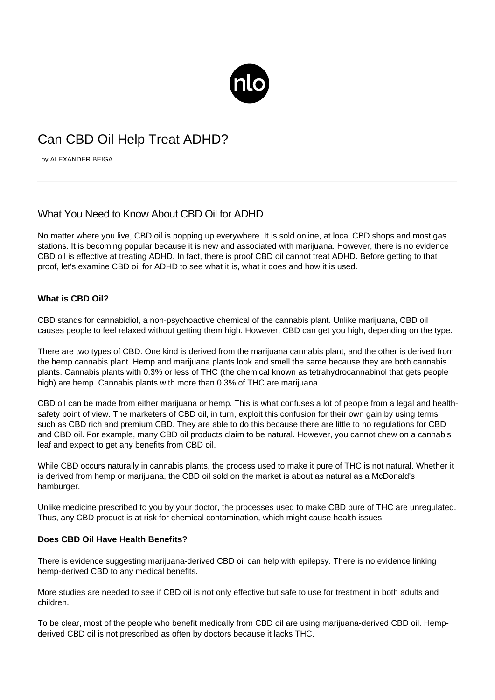

# Can CBD Oil Help Treat ADHD?

by ALEXANDER BEIGA

# What You Need to Know About CBD Oil for ADHD

No matter where you live, CBD oil is popping up everywhere. It is sold online, at local CBD shops and most gas stations. It is becoming popular because it is new and associated with marijuana. However, there is no evidence CBD oil is effective at treating ADHD. In fact, there is proof CBD oil cannot treat ADHD. Before getting to that proof, let's examine CBD oil for ADHD to see what it is, what it does and how it is used.

# **What is CBD Oil?**

CBD stands for cannabidiol, a non-psychoactive chemical of the cannabis plant. Unlike marijuana, CBD oil causes people to feel relaxed without getting them high. However, CBD can get you high, depending on the type.

There are two types of CBD. One kind is derived from the marijuana cannabis plant, and the other is derived from the hemp cannabis plant. Hemp and marijuana plants look and smell the same because they are both cannabis plants. Cannabis plants with 0.3% or less of THC (the chemical known as tetrahydrocannabinol that gets people high) are hemp. Cannabis plants with more than 0.3% of THC are marijuana.

CBD oil can be made from either marijuana or hemp. This is what confuses a lot of people from a legal and healthsafety point of view. The marketers of CBD oil, in turn, exploit this confusion for their own gain by using terms such as CBD rich and premium CBD. They are able to do this because there are little to no regulations for CBD and CBD oil. For example, many CBD oil products claim to be natural. However, you cannot chew on a cannabis leaf and expect to get any benefits from CBD oil.

While CBD occurs naturally in cannabis plants, the process used to make it pure of THC is not natural. Whether it is derived from hemp or marijuana, the CBD oil sold on the market is about as natural as a McDonald's hamburger.

Unlike medicine prescribed to you by your doctor, the processes used to make CBD pure of THC are unregulated. Thus, any CBD product is at risk for chemical contamination, which might cause health issues.

## **Does CBD Oil Have Health Benefits?**

There is evidence suggesting marijuana-derived CBD oil can [help with epilepsy](https://www.epilepsy.com/learn/treating-seizures-and-epilepsy/other-treatment-approaches/medical-marijuana-and-epilepsy). There is no evidence linking hemp-derived CBD to any medical benefits.

More studies are needed to see if CBD oil is not only effective but safe to use for treatment in both adults and children.

To be clear, most of the people who benefit medically from CBD oil are using marijuana-derived CBD oil. Hempderived CBD oil is not prescribed as often by doctors because it lacks THC.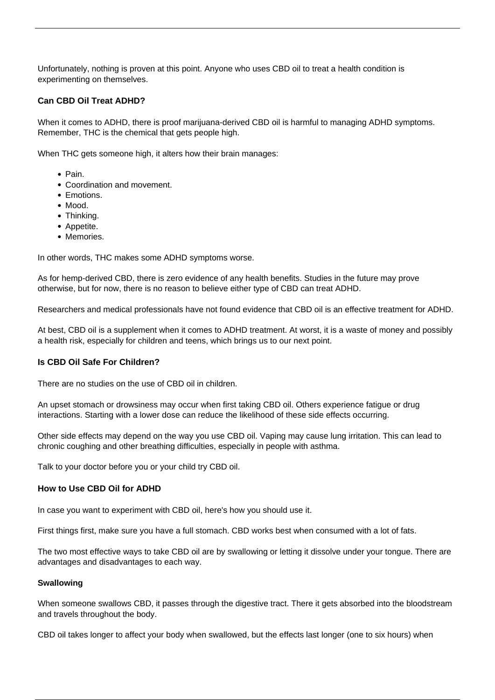Unfortunately, nothing is proven at this point. Anyone who uses CBD oil to treat a health condition is experimenting on themselves.

## **Can CBD Oil Treat ADHD?**

When it comes to ADHD, there is proof marijuana-derived CBD oil is harmful to managing ADHD symptoms. Remember, THC is the chemical that gets people high.

When THC gets someone high, it alters how their brain manages:

- Pain.
- Coordination and movement.
- Emotions.
- Mood.
- Thinking.
- Appetite.
- Memories.

In other words, THC makes some [ADHD symptoms](/adhd-symptoms/) worse.

As for hemp-derived CBD, there is zero evidence of any health benefits. Studies in the future may prove otherwise, but for now, there is no reason to believe either type of CBD can treat ADHD.

Researchers and medical professionals have not found evidence that CBD oil is an effective treatment for ADHD.

At best, CBD oil is a supplement when it comes to ADHD treatment. At worst, it is a waste of money and possibly a health risk, especially for children and teens, which brings us to our next point.

#### **Is CBD Oil Safe For Children?**

There are no studies on the use of CBD oil in children.

An upset stomach or drowsiness may occur when first taking CBD oil. Others experience fatigue or drug interactions. Starting with a lower dose can reduce the likelihood of these side effects occurring.

Other side effects may depend on the way you use CBD oil. Vaping may cause lung irritation. This can lead to chronic coughing and other breathing difficulties, especially in people with asthma.

Talk to your doctor before you or your child try CBD oil.

#### **How to Use CBD Oil for ADHD**

In case you want to experiment with CBD oil, here's how you should use it.

First things first, make sure you have a full stomach. CBD works best when consumed with a lot of fats.

The two most effective ways to take CBD oil are by swallowing or letting it dissolve under your tongue. There are advantages and disadvantages to each way.

#### **Swallowing**

When someone swallows CBD, it passes through the digestive tract. There it gets absorbed into the bloodstream and travels throughout the body.

CBD oil takes longer to affect your body when swallowed, but the effects last longer (one to six hours) when